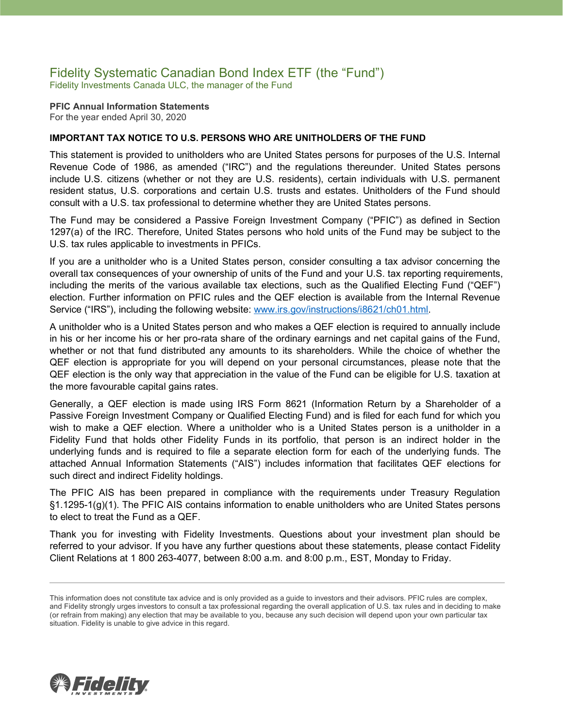### Fidelity Systematic Canadian Bond Index ETF (the "Fund") Fidelity Investments Canada ULC, the manager of the Fund

**PFIC Annual Information Statements** For the year ended April 30, 2020

#### **IMPORTANT TAX NOTICE TO U.S. PERSONS WHO ARE UNITHOLDERS OF THE FUND**

This statement is provided to unitholders who are United States persons for purposes of the U.S. Internal Revenue Code of 1986, as amended ("IRC") and the regulations thereunder. United States persons include U.S. citizens (whether or not they are U.S. residents), certain individuals with U.S. permanent resident status, U.S. corporations and certain U.S. trusts and estates. Unitholders of the Fund should consult with a U.S. tax professional to determine whether they are United States persons.

The Fund may be considered a Passive Foreign Investment Company ("PFIC") as defined in Section 1297(a) of the IRC. Therefore, United States persons who hold units of the Fund may be subject to the U.S. tax rules applicable to investments in PFICs.

If you are a unitholder who is a United States person, consider consulting a tax advisor concerning the overall tax consequences of your ownership of units of the Fund and your U.S. tax reporting requirements, including the merits of the various available tax elections, such as the Qualified Electing Fund ("QEF") election. Further information on PFIC rules and the QEF election is available from the Internal Revenue Service ("IRS"), including the following website: [www.irs.gov/instructions/i8621/ch01.html.](http://www.irs.gov/instructions/i8621/ch01.html)

A unitholder who is a United States person and who makes a QEF election is required to annually include in his or her income his or her pro-rata share of the ordinary earnings and net capital gains of the Fund, whether or not that fund distributed any amounts to its shareholders. While the choice of whether the QEF election is appropriate for you will depend on your personal circumstances, please note that the QEF election is the only way that appreciation in the value of the Fund can be eligible for U.S. taxation at the more favourable capital gains rates.

Generally, a QEF election is made using IRS Form 8621 (Information Return by a Shareholder of a Passive Foreign Investment Company or Qualified Electing Fund) and is filed for each fund for which you wish to make a QEF election. Where a unitholder who is a United States person is a unitholder in a Fidelity Fund that holds other Fidelity Funds in its portfolio, that person is an indirect holder in the underlying funds and is required to file a separate election form for each of the underlying funds. The attached Annual Information Statements ("AIS") includes information that facilitates QEF elections for such direct and indirect Fidelity holdings.

The PFIC AIS has been prepared in compliance with the requirements under Treasury Regulation §1.1295-1(g)(1). The PFIC AIS contains information to enable unitholders who are United States persons to elect to treat the Fund as a QEF.

Thank you for investing with Fidelity Investments. Questions about your investment plan should be referred to your advisor. If you have any further questions about these statements, please contact Fidelity Client Relations at 1 800 263-4077, between 8:00 a.m. and 8:00 p.m., EST, Monday to Friday.



This information does not constitute tax advice and is only provided as a guide to investors and their advisors. PFIC rules are complex, and Fidelity strongly urges investors to consult a tax professional regarding the overall application of U.S. tax rules and in deciding to make (or refrain from making) any election that may be available to you, because any such decision will depend upon your own particular tax situation. Fidelity is unable to give advice in this regard.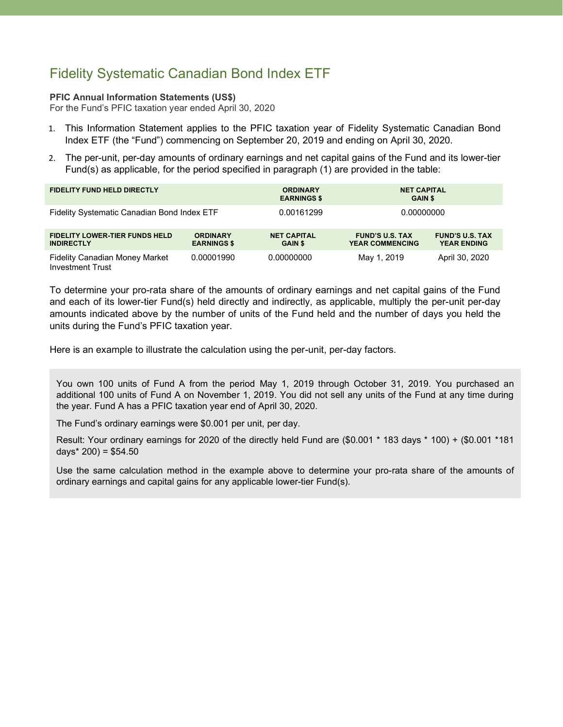# Fidelity Systematic Canadian Bond Index ETF

#### **PFIC Annual Information Statements (US\$)**

For the Fund's PFIC taxation year ended April 30, 2020

- 1. This Information Statement applies to the PFIC taxation year of Fidelity Systematic Canadian Bond Index ETF (the "Fund") commencing on September 20, 2019 and ending on April 30, 2020.
- 2. The per-unit, per-day amounts of ordinary earnings and net capital gains of the Fund and its lower-tier Fund(s) as applicable, for the period specified in paragraph (1) are provided in the table:

| <b>FIDELITY FUND HELD DIRECTLY</b>                               |                                       | <b>ORDINARY</b><br><b>EARNINGS \$</b> | <b>NET CAPITAL</b><br><b>GAIN \$</b>             |                                              |
|------------------------------------------------------------------|---------------------------------------|---------------------------------------|--------------------------------------------------|----------------------------------------------|
| Fidelity Systematic Canadian Bond Index ETF                      |                                       | 0.00161299                            | 0.00000000                                       |                                              |
| <b>FIDELITY LOWER-TIER FUNDS HELD</b><br><b>INDIRECTLY</b>       | <b>ORDINARY</b><br><b>EARNINGS \$</b> | <b>NET CAPITAL</b><br><b>GAIN \$</b>  | <b>FUND'S U.S. TAX</b><br><b>YEAR COMMENCING</b> | <b>FUND'S U.S. TAX</b><br><b>YEAR ENDING</b> |
| <b>Fidelity Canadian Money Market</b><br><b>Investment Trust</b> | 0.00001990                            | 0.00000000                            | May 1, 2019                                      | April 30, 2020                               |

To determine your pro-rata share of the amounts of ordinary earnings and net capital gains of the Fund and each of its lower-tier Fund(s) held directly and indirectly, as applicable, multiply the per-unit per-day amounts indicated above by the number of units of the Fund held and the number of days you held the units during the Fund's PFIC taxation year.

Here is an example to illustrate the calculation using the per-unit, per-day factors.

You own 100 units of Fund A from the period May 1, 2019 through October 31, 2019. You purchased an additional 100 units of Fund A on November 1, 2019. You did not sell any units of the Fund at any time during the year. Fund A has a PFIC taxation year end of April 30, 2020.

The Fund's ordinary earnings were \$0.001 per unit, per day.

Result: Your ordinary earnings for 2020 of the directly held Fund are (\$0.001 \* 183 days \* 100) + (\$0.001 \*181 days $*$  200) = \$54.50

Use the same calculation method in the example above to determine your pro-rata share of the amounts of ordinary earnings and capital gains for any applicable lower-tier Fund(s).